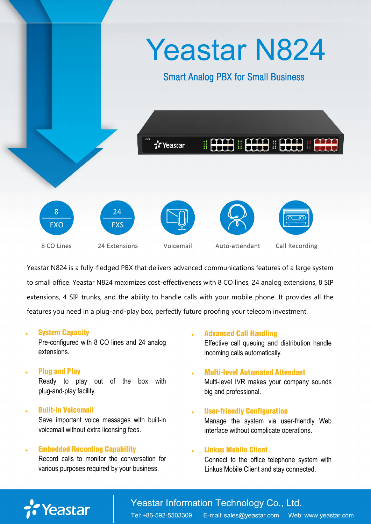

Yeastar N824 is a fully-fledged PBX that delivers advanced communications features of a large system to small office. Yeastar N824 maximizes cost-effectiveness with 8 CO lines, 24 analog extensions, 8 SIP extensions, 4 SIP trunks, and the ability to handle calls with your mobile phone. It provides all the features you need in a plug-and-play box, perfectly future proofing your telecom investment.

#### System Capacity

Pre-configured with 8 CO lines and 24 analog extensions.

- Plug and Play Ready to play out of the box with plug-and-play facility.
- Built-in Voicemail Save important voice messages with built-in voicemail without extra licensing fees.

### Embedded Recording Capability

Record calls to monitor the conversation for various purposes required by your business.

Advanced Call Handling

Effective call queuing and distribution handle incoming calls automatically.

- Multi-level Automated Attendant Multi-level IVR makes your company sounds big and professional.
- User-friendly Configuration Manage the system via user-friendly Web interface without complicate operations.

#### Linkus Mobile Client

Connect to the office telephone system with Linkus Mobile Client and stay connected.

# Yeastar

Yeastar Information Technology Co., Ltd.

Tel: +86-592-5503309 E-mail: sales@yeastar.com